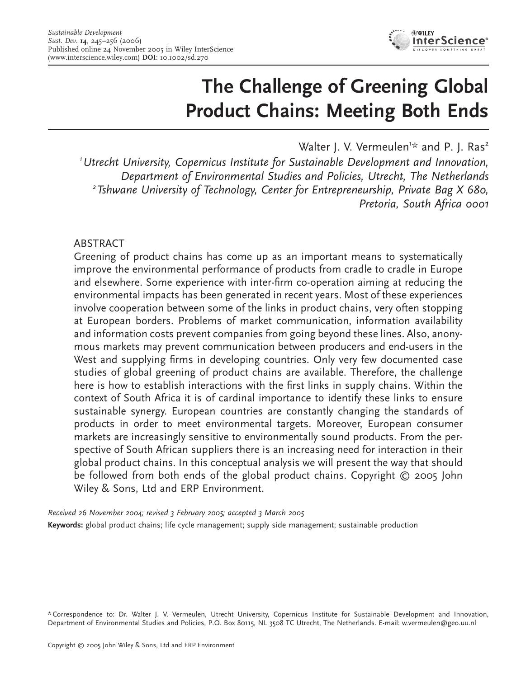

# **The Challenge of Greening Global Product Chains: Meeting Both Ends**

Walter J. V. Vermeulen<sup>1\*</sup> and P. J. Ras<sup>2</sup>

*1 Utrecht University, Copernicus Institute for Sustainable Development and Innovation, Department of Environmental Studies and Policies, Utrecht, The Netherlands 2 Tshwane University of Technology, Center for Entrepreneurship, Private Bag X 680, Pretoria, South Africa 0001*

# **ABSTRACT**

Greening of product chains has come up as an important means to systematically improve the environmental performance of products from cradle to cradle in Europe and elsewhere. Some experience with inter-firm co-operation aiming at reducing the environmental impacts has been generated in recent years. Most of these experiences involve cooperation between some of the links in product chains, very often stopping at European borders. Problems of market communication, information availability and information costs prevent companies from going beyond these lines. Also, anonymous markets may prevent communication between producers and end-users in the West and supplying firms in developing countries. Only very few documented case studies of global greening of product chains are available. Therefore, the challenge here is how to establish interactions with the first links in supply chains. Within the context of South Africa it is of cardinal importance to identify these links to ensure sustainable synergy. European countries are constantly changing the standards of products in order to meet environmental targets. Moreover, European consumer markets are increasingly sensitive to environmentally sound products. From the perspective of South African suppliers there is an increasing need for interaction in their global product chains. In this conceptual analysis we will present the way that should be followed from both ends of the global product chains. Copyright © 2005 John Wiley & Sons, Ltd and ERP Environment.

*Received 26 November 2004; revised 3 February 2005; accepted 3 March 2005* **Keywords:** global product chains; life cycle management; supply side management; sustainable production

\* Correspondence to: Dr. Walter J. V. Vermeulen, Utrecht University, Copernicus Institute for Sustainable Development and Innovation, Department of Environmental Studies and Policies, P.O. Box 80115, NL 3508 TC Utrecht, The Netherlands. E-mail: w.vermeulen@geo.uu.nl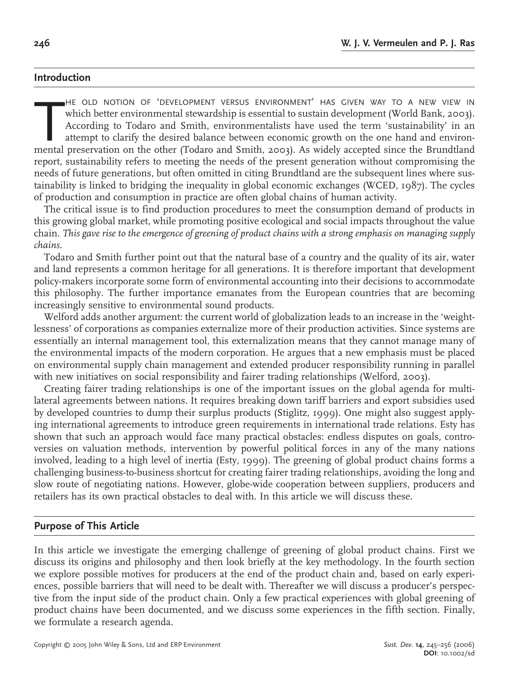#### **Introduction**

HE OLD NOTION OF 'DEVELOPMENT VERSUS ENVIRONMENT' HAS GIVEN WAY TO A NEW VIEW IN<br>which better environmental stewardship is essential to sustain development (World Bank, 2003).<br>According to Todaro and Smith, environmentalis HE OLD NOTION OF 'DEVELOPMENT VERSUS ENVIRONMENT' HAS GIVEN WAY TO A NEW VIEW IN which better environmental stewardship is essential to sustain development (World Bank, 2003). According to Todaro and Smith, environmentalists have used the term 'sustainability' in an attempt to clarify the desired balance between economic growth on the one hand and environreport, sustainability refers to meeting the needs of the present generation without compromising the needs of future generations, but often omitted in citing Brundtland are the subsequent lines where sustainability is linked to bridging the inequality in global economic exchanges (WCED, 1987). The cycles of production and consumption in practice are often global chains of human activity.

The critical issue is to find production procedures to meet the consumption demand of products in this growing global market, while promoting positive ecological and social impacts throughout the value chain. *This gave rise to the emergence of greening of product chains with a strong emphasis on managing supply chains.*

Todaro and Smith further point out that the natural base of a country and the quality of its air, water and land represents a common heritage for all generations. It is therefore important that development policy-makers incorporate some form of environmental accounting into their decisions to accommodate this philosophy. The further importance emanates from the European countries that are becoming increasingly sensitive to environmental sound products.

Welford adds another argument: the current world of globalization leads to an increase in the 'weightlessness' of corporations as companies externalize more of their production activities. Since systems are essentially an internal management tool, this externalization means that they cannot manage many of the environmental impacts of the modern corporation. He argues that a new emphasis must be placed on environmental supply chain management and extended producer responsibility running in parallel with new initiatives on social responsibility and fairer trading relationships (Welford, 2003).

Creating fairer trading relationships is one of the important issues on the global agenda for multilateral agreements between nations. It requires breaking down tariff barriers and export subsidies used by developed countries to dump their surplus products (Stiglitz, 1999). One might also suggest applying international agreements to introduce green requirements in international trade relations. Esty has shown that such an approach would face many practical obstacles: endless disputes on goals, controversies on valuation methods, intervention by powerful political forces in any of the many nations involved, leading to a high level of inertia (Esty, 1999). The greening of global product chains forms a challenging business-to-business shortcut for creating fairer trading relationships, avoiding the long and slow route of negotiating nations. However, globe-wide cooperation between suppliers, producers and retailers has its own practical obstacles to deal with. In this article we will discuss these.

### **Purpose of This Article**

In this article we investigate the emerging challenge of greening of global product chains. First we discuss its origins and philosophy and then look briefly at the key methodology. In the fourth section we explore possible motives for producers at the end of the product chain and, based on early experiences, possible barriers that will need to be dealt with. Thereafter we will discuss a producer's perspective from the input side of the product chain. Only a few practical experiences with global greening of product chains have been documented, and we discuss some experiences in the fifth section. Finally, we formulate a research agenda.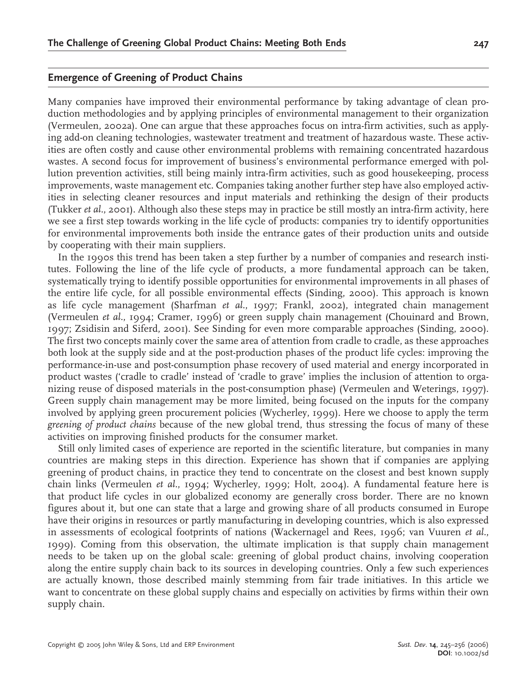#### **Emergence of Greening of Product Chains**

Many companies have improved their environmental performance by taking advantage of clean production methodologies and by applying principles of environmental management to their organization (Vermeulen, 2002a). One can argue that these approaches focus on intra-firm activities, such as applying add-on cleaning technologies, wastewater treatment and treatment of hazardous waste. These activities are often costly and cause other environmental problems with remaining concentrated hazardous wastes. A second focus for improvement of business's environmental performance emerged with pollution prevention activities, still being mainly intra-firm activities, such as good housekeeping, process improvements, waste management etc. Companies taking another further step have also employed activities in selecting cleaner resources and input materials and rethinking the design of their products (Tukker *et al.*, 2001). Although also these steps may in practice be still mostly an intra-firm activity, here we see a first step towards working in the life cycle of products: companies try to identify opportunities for environmental improvements both inside the entrance gates of their production units and outside by cooperating with their main suppliers.

In the 1990s this trend has been taken a step further by a number of companies and research institutes. Following the line of the life cycle of products, a more fundamental approach can be taken, systematically trying to identify possible opportunities for environmental improvements in all phases of the entire life cycle, for all possible environmental effects (Sinding, 2000). This approach is known as life cycle management (Sharfman *et al.*, 1997; Frankl, 2002), integrated chain management (Vermeulen *et al.*, 1994; Cramer, 1996) or green supply chain management (Chouinard and Brown, 1997; Zsidisin and Siferd, 2001). See Sinding for even more comparable approaches (Sinding, 2000). The first two concepts mainly cover the same area of attention from cradle to cradle, as these approaches both look at the supply side and at the post-production phases of the product life cycles: improving the performance-in-use and post-consumption phase recovery of used material and energy incorporated in product wastes ('cradle to cradle' instead of 'cradle to grave' implies the inclusion of attention to organizing reuse of disposed materials in the post-consumption phase) (Vermeulen and Weterings, 1997). Green supply chain management may be more limited, being focused on the inputs for the company involved by applying green procurement policies (Wycherley, 1999). Here we choose to apply the term *greening of product chains* because of the new global trend, thus stressing the focus of many of these activities on improving finished products for the consumer market.

Still only limited cases of experience are reported in the scientific literature, but companies in many countries are making steps in this direction. Experience has shown that if companies are applying greening of product chains, in practice they tend to concentrate on the closest and best known supply chain links (Vermeulen *et al.*, 1994; Wycherley, 1999; Holt, 2004). A fundamental feature here is that product life cycles in our globalized economy are generally cross border. There are no known figures about it, but one can state that a large and growing share of all products consumed in Europe have their origins in resources or partly manufacturing in developing countries, which is also expressed in assessments of ecological footprints of nations (Wackernagel and Rees, 1996; van Vuuren *et al.*, 1999). Coming from this observation, the ultimate implication is that supply chain management needs to be taken up on the global scale: greening of global product chains, involving cooperation along the entire supply chain back to its sources in developing countries. Only a few such experiences are actually known, those described mainly stemming from fair trade initiatives. In this article we want to concentrate on these global supply chains and especially on activities by firms within their own supply chain.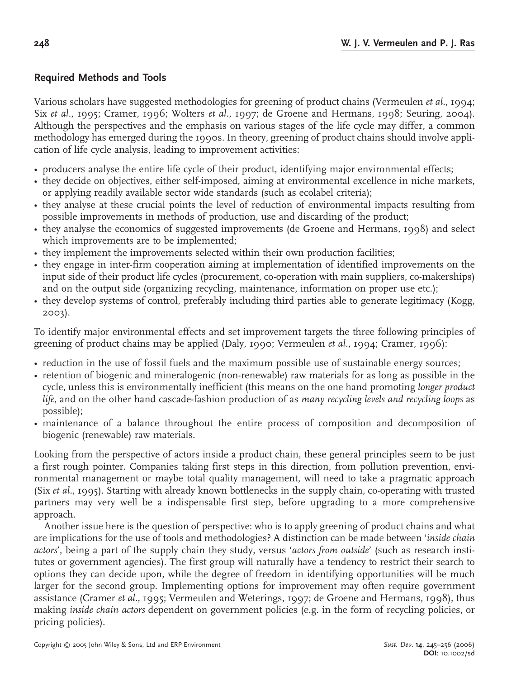### **Required Methods and Tools**

Various scholars have suggested methodologies for greening of product chains (Vermeulen *et al.*, 1994; Six *et al.*, 1995; Cramer, 1996; Wolters *et al.*, 1997; de Groene and Hermans, 1998; Seuring, 2004). Although the perspectives and the emphasis on various stages of the life cycle may differ, a common methodology has emerged during the 1990s. In theory, greening of product chains should involve application of life cycle analysis, leading to improvement activities:

- producers analyse the entire life cycle of their product, identifying major environmental effects;
- they decide on objectives, either self-imposed, aiming at environmental excellence in niche markets, or applying readily available sector wide standards (such as ecolabel criteria);
- they analyse at these crucial points the level of reduction of environmental impacts resulting from possible improvements in methods of production, use and discarding of the product;
- they analyse the economics of suggested improvements (de Groene and Hermans, 1998) and select which improvements are to be implemented;
- they implement the improvements selected within their own production facilities;
- they engage in inter-firm cooperation aiming at implementation of identified improvements on the input side of their product life cycles (procurement, co-operation with main suppliers, co-makerships) and on the output side (organizing recycling, maintenance, information on proper use etc.);
- they develop systems of control, preferably including third parties able to generate legitimacy (Kogg, 2003).

To identify major environmental effects and set improvement targets the three following principles of greening of product chains may be applied (Daly, 1990; Vermeulen *et al.*, 1994; Cramer, 1996):

- reduction in the use of fossil fuels and the maximum possible use of sustainable energy sources;
- retention of biogenic and mineralogenic (non-renewable) raw materials for as long as possible in the cycle, unless this is environmentally inefficient (this means on the one hand promoting *longer product life*, and on the other hand cascade-fashion production of as *many recycling levels and recycling loops* as possible);
- maintenance of a balance throughout the entire process of composition and decomposition of biogenic (renewable) raw materials.

Looking from the perspective of actors inside a product chain, these general principles seem to be just a first rough pointer. Companies taking first steps in this direction, from pollution prevention, environmental management or maybe total quality management, will need to take a pragmatic approach (Six *et al.*, 1995). Starting with already known bottlenecks in the supply chain, co-operating with trusted partners may very well be a indispensable first step, before upgrading to a more comprehensive approach.

Another issue here is the question of perspective: who is to apply greening of product chains and what are implications for the use of tools and methodologies? A distinction can be made between '*inside chain actors*', being a part of the supply chain they study, versus '*actors from outside*' (such as research institutes or government agencies). The first group will naturally have a tendency to restrict their search to options they can decide upon, while the degree of freedom in identifying opportunities will be much larger for the second group. Implementing options for improvement may often require government assistance (Cramer *et al.*, 1995; Vermeulen and Weterings, 1997; de Groene and Hermans, 1998), thus making *inside chain actors* dependent on government policies (e.g. in the form of recycling policies, or pricing policies).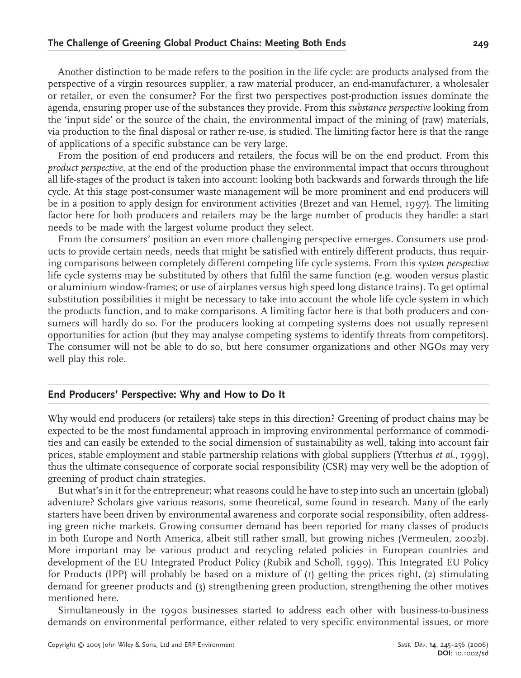Another distinction to be made refers to the position in the life cycle: are products analysed from the perspective of a virgin resources supplier, a raw material producer, an end-manufacturer, a wholesaler or retailer, or even the consumer? For the first two perspectives post-production issues dominate the agenda, ensuring proper use of the substances they provide. From this *substance perspective* looking from the 'input side' or the source of the chain, the environmental impact of the mining of (raw) materials, via production to the final disposal or rather re-use, is studied. The limiting factor here is that the range of applications of a specific substance can be very large.

From the position of end producers and retailers, the focus will be on the end product. From this *product perspective*, at the end of the production phase the environmental impact that occurs throughout all life-stages of the product is taken into account: looking both backwards and forwards through the life cycle. At this stage post-consumer waste management will be more prominent and end producers will be in a position to apply design for environment activities (Brezet and van Hemel, 1997). The limiting factor here for both producers and retailers may be the large number of products they handle: a start needs to be made with the largest volume product they select.

From the consumers' position an even more challenging perspective emerges. Consumers use products to provide certain needs, needs that might be satisfied with entirely different products, thus requiring comparisons between completely different competing life cycle systems. From this *system perspective* life cycle systems may be substituted by others that fulfil the same function (e.g. wooden versus plastic or aluminium window-frames; or use of airplanes versus high speed long distance trains). To get optimal substitution possibilities it might be necessary to take into account the whole life cycle system in which the products function, and to make comparisons. A limiting factor here is that both producers and consumers will hardly do so. For the producers looking at competing systems does not usually represent opportunities for action (but they may analyse competing systems to identify threats from competitors). The consumer will not be able to do so, but here consumer organizations and other NGOs may very well play this role.

# **End Producers' Perspective: Why and How to Do It**

Why would end producers (or retailers) take steps in this direction? Greening of product chains may be expected to be the most fundamental approach in improving environmental performance of commodities and can easily be extended to the social dimension of sustainability as well, taking into account fair prices, stable employment and stable partnership relations with global suppliers (Ytterhus *et al.*, 1999), thus the ultimate consequence of corporate social responsibility (CSR) may very well be the adoption of greening of product chain strategies.

But what's in it for the entrepreneur; what reasons could he have to step into such an uncertain (global) adventure? Scholars give various reasons, some theoretical, some found in research. Many of the early starters have been driven by environmental awareness and corporate social responsibility, often addressing green niche markets. Growing consumer demand has been reported for many classes of products in both Europe and North America, albeit still rather small, but growing niches (Vermeulen, 2002b). More important may be various product and recycling related policies in European countries and development of the EU Integrated Product Policy (Rubik and Scholl, 1999). This Integrated EU Policy for Products (IPP) will probably be based on a mixture of (1) getting the prices right, (2) stimulating demand for greener products and (3) strengthening green production, strengthening the other motives mentioned here.

Simultaneously in the 1990s businesses started to address each other with business-to-business demands on environmental performance, either related to very specific environmental issues, or more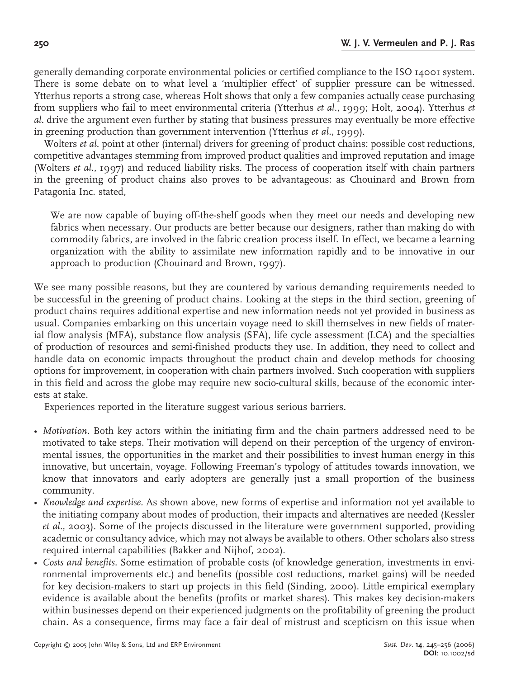generally demanding corporate environmental policies or certified compliance to the ISO 14001 system. There is some debate on to what level a 'multiplier effect' of supplier pressure can be witnessed. Ytterhus reports a strong case, whereas Holt shows that only a few companies actually cease purchasing from suppliers who fail to meet environmental criteria (Ytterhus *et al.*, 1999; Holt, 2004). Ytterhus *et al.* drive the argument even further by stating that business pressures may eventually be more effective in greening production than government intervention (Ytterhus *et al.*, 1999).

Wolters *et al.* point at other (internal) drivers for greening of product chains: possible cost reductions, competitive advantages stemming from improved product qualities and improved reputation and image (Wolters *et al.*, 1997) and reduced liability risks. The process of cooperation itself with chain partners in the greening of product chains also proves to be advantageous: as Chouinard and Brown from Patagonia Inc. stated,

We are now capable of buying off-the-shelf goods when they meet our needs and developing new fabrics when necessary. Our products are better because our designers, rather than making do with commodity fabrics, are involved in the fabric creation process itself. In effect, we became a learning organization with the ability to assimilate new information rapidly and to be innovative in our approach to production (Chouinard and Brown, 1997).

We see many possible reasons, but they are countered by various demanding requirements needed to be successful in the greening of product chains. Looking at the steps in the third section, greening of product chains requires additional expertise and new information needs not yet provided in business as usual. Companies embarking on this uncertain voyage need to skill themselves in new fields of material flow analysis (MFA), substance flow analysis (SFA), life cycle assessment (LCA) and the specialties of production of resources and semi-finished products they use. In addition, they need to collect and handle data on economic impacts throughout the product chain and develop methods for choosing options for improvement, in cooperation with chain partners involved. Such cooperation with suppliers in this field and across the globe may require new socio-cultural skills, because of the economic interests at stake.

Experiences reported in the literature suggest various serious barriers.

- *Motivation.* Both key actors within the initiating firm and the chain partners addressed need to be motivated to take steps. Their motivation will depend on their perception of the urgency of environmental issues, the opportunities in the market and their possibilities to invest human energy in this innovative, but uncertain, voyage. Following Freeman's typology of attitudes towards innovation, we know that innovators and early adopters are generally just a small proportion of the business community.
- *Knowledge and expertise.* As shown above, new forms of expertise and information not yet available to the initiating company about modes of production, their impacts and alternatives are needed (Kessler *et al.*, 2003). Some of the projects discussed in the literature were government supported, providing academic or consultancy advice, which may not always be available to others. Other scholars also stress required internal capabilities (Bakker and Nijhof, 2002).
- *Costs and benefits.* Some estimation of probable costs (of knowledge generation, investments in environmental improvements etc.) and benefits (possible cost reductions, market gains) will be needed for key decision-makers to start up projects in this field (Sinding, 2000). Little empirical exemplary evidence is available about the benefits (profits or market shares). This makes key decision-makers within businesses depend on their experienced judgments on the profitability of greening the product chain. As a consequence, firms may face a fair deal of mistrust and scepticism on this issue when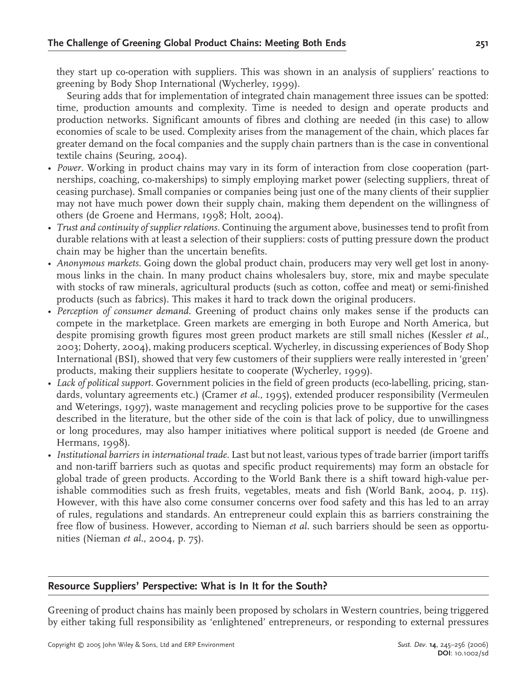they start up co-operation with suppliers. This was shown in an analysis of suppliers' reactions to greening by Body Shop International (Wycherley, 1999).

Seuring adds that for implementation of integrated chain management three issues can be spotted: time, production amounts and complexity. Time is needed to design and operate products and production networks. Significant amounts of fibres and clothing are needed (in this case) to allow economies of scale to be used. Complexity arises from the management of the chain, which places far greater demand on the focal companies and the supply chain partners than is the case in conventional textile chains (Seuring, 2004).

- *Power.* Working in product chains may vary in its form of interaction from close cooperation (partnerships, coaching, co-makerships) to simply employing market power (selecting suppliers, threat of ceasing purchase). Small companies or companies being just one of the many clients of their supplier may not have much power down their supply chain, making them dependent on the willingness of others (de Groene and Hermans, 1998; Holt, 2004).
- *Trust and continuity of supplier relations.* Continuing the argument above, businesses tend to profit from durable relations with at least a selection of their suppliers: costs of putting pressure down the product chain may be higher than the uncertain benefits.
- Anonymous markets. Going down the global product chain, producers may very well get lost in anonymous links in the chain. In many product chains wholesalers buy, store, mix and maybe speculate with stocks of raw minerals, agricultural products (such as cotton, coffee and meat) or semi-finished products (such as fabrics). This makes it hard to track down the original producers.
- *Perception of consumer demand.* Greening of product chains only makes sense if the products can compete in the marketplace. Green markets are emerging in both Europe and North America, but despite promising growth figures most green product markets are still small niches (Kessler *et al.*, 2003; Doherty, 2004), making producers sceptical. Wycherley, in discussing experiences of Body Shop International (BSI), showed that very few customers of their suppliers were really interested in 'green' products, making their suppliers hesitate to cooperate (Wycherley, 1999).
- *Lack of political support.* Government policies in the field of green products (eco-labelling, pricing, standards, voluntary agreements etc.) (Cramer *et al.*, 1995), extended producer responsibility (Vermeulen and Weterings, 1997), waste management and recycling policies prove to be supportive for the cases described in the literature, but the other side of the coin is that lack of policy, due to unwillingness or long procedures, may also hamper initiatives where political support is needed (de Groene and Hermans, 1998).
- *Institutional barriers in international trade.* Last but not least, various types of trade barrier (import tariffs and non-tariff barriers such as quotas and specific product requirements) may form an obstacle for global trade of green products. According to the World Bank there is a shift toward high-value perishable commodities such as fresh fruits, vegetables, meats and fish (World Bank, 2004, p. 115). However, with this have also come consumer concerns over food safety and this has led to an array of rules, regulations and standards. An entrepreneur could explain this as barriers constraining the free flow of business. However, according to Nieman *et al.* such barriers should be seen as opportunities (Nieman *et al.*, 2004, p. 75).

# **Resource Suppliers' Perspective: What is In It for the South?**

Greening of product chains has mainly been proposed by scholars in Western countries, being triggered by either taking full responsibility as 'enlightened' entrepreneurs, or responding to external pressures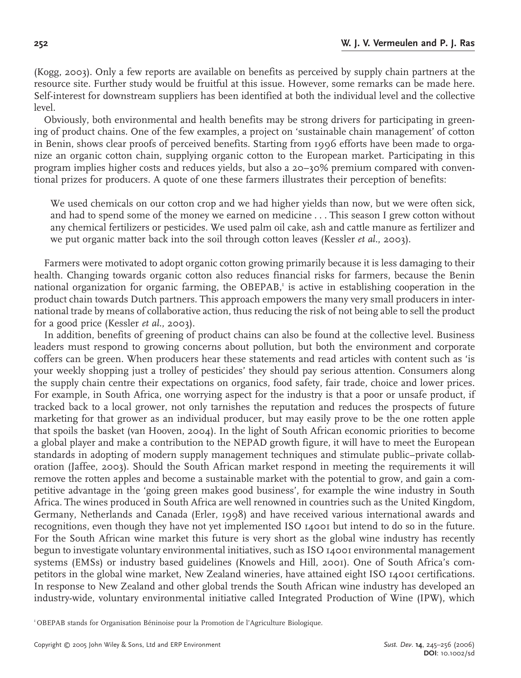(Kogg, 2003). Only a few reports are available on benefits as perceived by supply chain partners at the resource site. Further study would be fruitful at this issue. However, some remarks can be made here. Self-interest for downstream suppliers has been identified at both the individual level and the collective level.

Obviously, both environmental and health benefits may be strong drivers for participating in greening of product chains. One of the few examples, a project on 'sustainable chain management' of cotton in Benin, shows clear proofs of perceived benefits. Starting from 1996 efforts have been made to organize an organic cotton chain, supplying organic cotton to the European market. Participating in this program implies higher costs and reduces yields, but also a 20–30% premium compared with conventional prizes for producers. A quote of one these farmers illustrates their perception of benefits:

We used chemicals on our cotton crop and we had higher yields than now, but we were often sick, and had to spend some of the money we earned on medicine... This season I grew cotton without any chemical fertilizers or pesticides. We used palm oil cake, ash and cattle manure as fertilizer and we put organic matter back into the soil through cotton leaves (Kessler *et al.*, 2003).

Farmers were motivated to adopt organic cotton growing primarily because it is less damaging to their health. Changing towards organic cotton also reduces financial risks for farmers, because the Benin national organization for organic farming, the OBEPAB,<sup>1</sup> is active in establishing cooperation in the product chain towards Dutch partners. This approach empowers the many very small producers in international trade by means of collaborative action, thus reducing the risk of not being able to sell the product for a good price (Kessler *et al.*, 2003).

In addition, benefits of greening of product chains can also be found at the collective level. Business leaders must respond to growing concerns about pollution, but both the environment and corporate coffers can be green. When producers hear these statements and read articles with content such as 'is your weekly shopping just a trolley of pesticides' they should pay serious attention. Consumers along the supply chain centre their expectations on organics, food safety, fair trade, choice and lower prices. For example, in South Africa, one worrying aspect for the industry is that a poor or unsafe product, if tracked back to a local grower, not only tarnishes the reputation and reduces the prospects of future marketing for that grower as an individual producer, but may easily prove to be the one rotten apple that spoils the basket (van Hooven, 2004). In the light of South African economic priorities to become a global player and make a contribution to the NEPAD growth figure, it will have to meet the European standards in adopting of modern supply management techniques and stimulate public–private collaboration (Jaffee, 2003). Should the South African market respond in meeting the requirements it will remove the rotten apples and become a sustainable market with the potential to grow, and gain a competitive advantage in the 'going green makes good business', for example the wine industry in South Africa. The wines produced in South Africa are well renowned in countries such as the United Kingdom, Germany, Netherlands and Canada (Erler, 1998) and have received various international awards and recognitions, even though they have not yet implemented ISO 14001 but intend to do so in the future. For the South African wine market this future is very short as the global wine industry has recently begun to investigate voluntary environmental initiatives, such as ISO 14001 environmental management systems (EMSs) or industry based guidelines (Knowels and Hill, 2001). One of South Africa's competitors in the global wine market, New Zealand wineries, have attained eight ISO 14001 certifications. In response to New Zealand and other global trends the South African wine industry has developed an industry-wide, voluntary environmental initiative called Integrated Production of Wine (IPW), which

<sup>1</sup>OBEPAB stands for Organisation Béninoise pour la Promotion de l'Agriculture Biologique.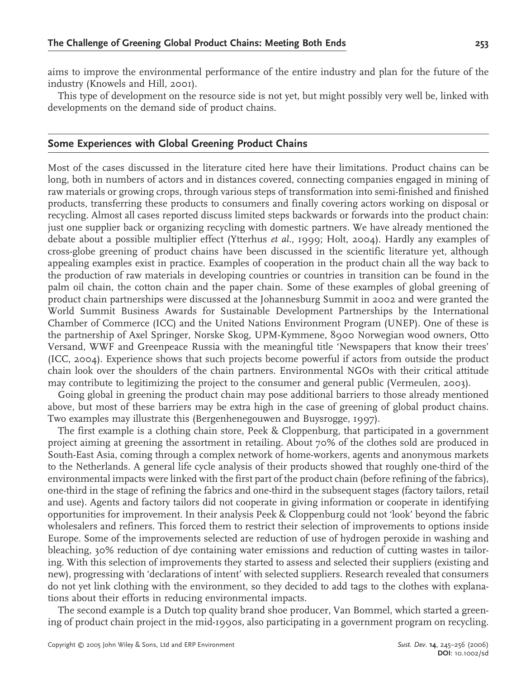aims to improve the environmental performance of the entire industry and plan for the future of the industry (Knowels and Hill, 2001).

This type of development on the resource side is not yet, but might possibly very well be, linked with developments on the demand side of product chains.

# **Some Experiences with Global Greening Product Chains**

Most of the cases discussed in the literature cited here have their limitations. Product chains can be long, both in numbers of actors and in distances covered, connecting companies engaged in mining of raw materials or growing crops, through various steps of transformation into semi-finished and finished products, transferring these products to consumers and finally covering actors working on disposal or recycling. Almost all cases reported discuss limited steps backwards or forwards into the product chain: just one supplier back or organizing recycling with domestic partners. We have already mentioned the debate about a possible multiplier effect (Ytterhus *et al.*, 1999; Holt, 2004). Hardly any examples of cross-globe greening of product chains have been discussed in the scientific literature yet, although appealing examples exist in practice. Examples of cooperation in the product chain all the way back to the production of raw materials in developing countries or countries in transition can be found in the palm oil chain, the cotton chain and the paper chain. Some of these examples of global greening of product chain partnerships were discussed at the Johannesburg Summit in 2002 and were granted the World Summit Business Awards for Sustainable Development Partnerships by the International Chamber of Commerce (ICC) and the United Nations Environment Program (UNEP). One of these is the partnership of Axel Springer, Norske Skog, UPM-Kymmene, 8900 Norwegian wood owners, Otto Versand, WWF and Greenpeace Russia with the meaningful title 'Newspapers that know their trees' (ICC, 2004). Experience shows that such projects become powerful if actors from outside the product chain look over the shoulders of the chain partners. Environmental NGOs with their critical attitude may contribute to legitimizing the project to the consumer and general public (Vermeulen, 2003).

Going global in greening the product chain may pose additional barriers to those already mentioned above, but most of these barriers may be extra high in the case of greening of global product chains. Two examples may illustrate this (Bergenhenegouwen and Buysrogge, 1997).

The first example is a clothing chain store, Peek & Cloppenburg, that participated in a government project aiming at greening the assortment in retailing. About 70% of the clothes sold are produced in South-East Asia, coming through a complex network of home-workers, agents and anonymous markets to the Netherlands. A general life cycle analysis of their products showed that roughly one-third of the environmental impacts were linked with the first part of the product chain (before refining of the fabrics), one-third in the stage of refining the fabrics and one-third in the subsequent stages (factory tailors, retail and use). Agents and factory tailors did not cooperate in giving information or cooperate in identifying opportunities for improvement. In their analysis Peek & Cloppenburg could not 'look' beyond the fabric wholesalers and refiners. This forced them to restrict their selection of improvements to options inside Europe. Some of the improvements selected are reduction of use of hydrogen peroxide in washing and bleaching, 30% reduction of dye containing water emissions and reduction of cutting wastes in tailoring. With this selection of improvements they started to assess and selected their suppliers (existing and new), progressing with 'declarations of intent' with selected suppliers. Research revealed that consumers do not yet link clothing with the environment, so they decided to add tags to the clothes with explanations about their efforts in reducing environmental impacts.

The second example is a Dutch top quality brand shoe producer, Van Bommel, which started a greening of product chain project in the mid-1990s, also participating in a government program on recycling.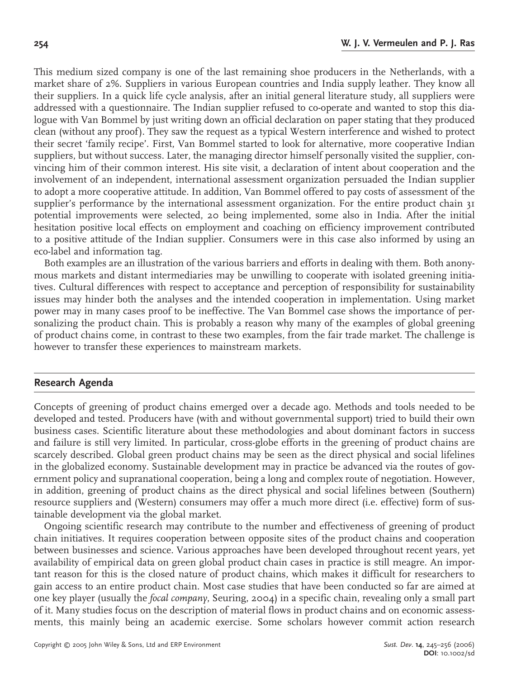This medium sized company is one of the last remaining shoe producers in the Netherlands, with a market share of 2%. Suppliers in various European countries and India supply leather. They know all their suppliers. In a quick life cycle analysis, after an initial general literature study, all suppliers were addressed with a questionnaire. The Indian supplier refused to co-operate and wanted to stop this dialogue with Van Bommel by just writing down an official declaration on paper stating that they produced clean (without any proof). They saw the request as a typical Western interference and wished to protect their secret 'family recipe'. First, Van Bommel started to look for alternative, more cooperative Indian suppliers, but without success. Later, the managing director himself personally visited the supplier, convincing him of their common interest. His site visit, a declaration of intent about cooperation and the involvement of an independent, international assessment organization persuaded the Indian supplier to adopt a more cooperative attitude. In addition, Van Bommel offered to pay costs of assessment of the supplier's performance by the international assessment organization. For the entire product chain 31 potential improvements were selected, 20 being implemented, some also in India. After the initial hesitation positive local effects on employment and coaching on efficiency improvement contributed to a positive attitude of the Indian supplier. Consumers were in this case also informed by using an eco-label and information tag.

Both examples are an illustration of the various barriers and efforts in dealing with them. Both anonymous markets and distant intermediaries may be unwilling to cooperate with isolated greening initiatives. Cultural differences with respect to acceptance and perception of responsibility for sustainability issues may hinder both the analyses and the intended cooperation in implementation. Using market power may in many cases proof to be ineffective. The Van Bommel case shows the importance of personalizing the product chain. This is probably a reason why many of the examples of global greening of product chains come, in contrast to these two examples, from the fair trade market. The challenge is however to transfer these experiences to mainstream markets.

# **Research Agenda**

Concepts of greening of product chains emerged over a decade ago. Methods and tools needed to be developed and tested. Producers have (with and without governmental support) tried to build their own business cases. Scientific literature about these methodologies and about dominant factors in success and failure is still very limited. In particular, cross-globe efforts in the greening of product chains are scarcely described. Global green product chains may be seen as the direct physical and social lifelines in the globalized economy. Sustainable development may in practice be advanced via the routes of government policy and supranational cooperation, being a long and complex route of negotiation. However, in addition, greening of product chains as the direct physical and social lifelines between (Southern) resource suppliers and (Western) consumers may offer a much more direct (i.e. effective) form of sustainable development via the global market.

Ongoing scientific research may contribute to the number and effectiveness of greening of product chain initiatives. It requires cooperation between opposite sites of the product chains and cooperation between businesses and science. Various approaches have been developed throughout recent years, yet availability of empirical data on green global product chain cases in practice is still meagre. An important reason for this is the closed nature of product chains, which makes it difficult for researchers to gain access to an entire product chain. Most case studies that have been conducted so far are aimed at one key player (usually the *focal company*, Seuring, 2004) in a specific chain, revealing only a small part of it. Many studies focus on the description of material flows in product chains and on economic assessments, this mainly being an academic exercise. Some scholars however commit action research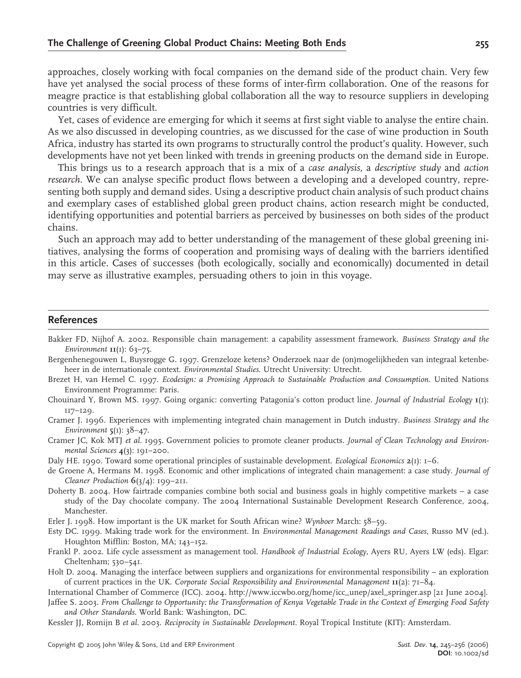approaches, closely working with focal companies on the demand side of the product chain. Very few have yet analysed the social process of these forms of inter-firm collaboration. One of the reasons for meagre practice is that establishing global collaboration all the way to resource suppliers in developing countries is very difficult.

Yet, cases of evidence are emerging for which it seems at first sight viable to analyse the entire chain. As we also discussed in developing countries, as we discussed for the case of wine production in South Africa, industry has started its own programs to structurally control the product's quality. However, such developments have not yet been linked with trends in greening products on the demand side in Europe.

This brings us to a research approach that is a mix of a *case analysis*, a *descriptive study* and *action research*. We can analyse specific product flows between a developing and a developed country, representing both supply and demand sides. Using a descriptive product chain analysis of such product chains and exemplary cases of established global green product chains, action research might be conducted, identifying opportunities and potential barriers as perceived by businesses on both sides of the product chains.

Such an approach may add to better understanding of the management of these global greening initiatives, analysing the forms of cooperation and promising ways of dealing with the barriers identified in this article. Cases of successes (both ecologically, socially and economically) documented in detail may serve as illustrative examples, persuading others to join in this voyage.

### **References**

- Bakker FD, Nijhof A. 2002. Responsible chain management: a capability assessment framework. *Business Strategy and the Environment* **11**(1): 63–75.
- Bergenhenegouwen L, Buysrogge G. 1997. Grenzeloze ketens? Onderzoek naar de (on)mogelijkheden van integraal ketenbeheer in de internationale context. *Environmental Studies*. Utrecht University: Utrecht.
- Brezet H, van Hemel C. 1997. *Ecodesign: a Promising Approach to Sustainable Production and Consumption*. United Nations Environment Programme: Paris.
- Chouinard Y, Brown MS. 1997. Going organic: converting Patagonia's cotton product line. *Journal of Industrial Ecology* **1**(1): 117–129.

Cramer J. 1996. Experiences with implementing integrated chain management in Dutch industry. *Business Strategy and the Environment* **5**(1): 38–47.

Cramer JC, Kok MTJ *et al.* 1995. Government policies to promote cleaner products. *Journal of Clean Technology and Environmental Sciences* **4**(3): 191–200.

Daly HE. 1990. Toward some operational principles of sustainable development. *Ecological Economics* **2**(1): 1–6.

- de Groene A, Hermans M. 1998. Economic and other implications of integrated chain management: a case study. *Journal of Cleaner Production* **6**(3/4): 199–211.
- Doherty B. 2004. How fairtrade companies combine both social and business goals in highly competitive markets a case study of the Day chocolate company. The 2004 International Sustainable Development Research Conference, 2004, Manchester.
- Erler J. 1998. How important is the UK market for South African wine? *Wynboer* March: 58–59.
- Esty DC. 1999. Making trade work for the environment. In *Environmental Management Readings and Cases*, Russo MV (ed.). Houghton Mifflin: Boston, MA; 143–152.
- Frankl P. 2002. Life cycle assessment as management tool. *Handbook of Industrial Ecology*, Ayers RU, Ayers LW (eds). Elgar: Cheltenham; 530–541.
- Holt D. 2004. Managing the interface between suppliers and organizations for environmental responsibility an exploration of current practices in the UK. *Corporate Social Responsibility and Environmental Management* **11**(2): 71–84.

International Chamber of Commerce (ICC). 2004. http://www.iccwbo.org/home/icc\_unep/axel\_springer.asp [21 June 2004].

Jaffee S. 2003. *From Challenge to Opportunity: the Transformation of Kenya Vegetable Trade in the Context of Emerging Food Safety and Other Standards*. World Bank: Washington, DC.

Kessler JJ, Romijn B *et al.* 2003. *Reciprocity in Sustainable Development*. Royal Tropical Institute (KIT): Amsterdam.